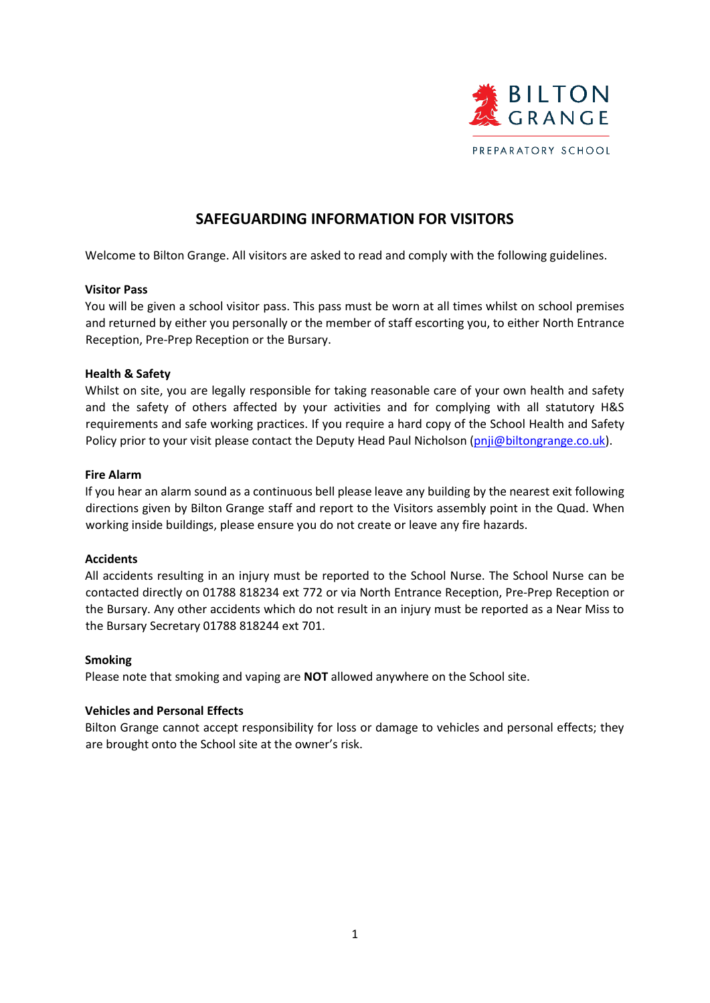

# **SAFEGUARDING INFORMATION FOR VISITORS**

Welcome to Bilton Grange. All visitors are asked to read and comply with the following guidelines.

# **Visitor Pass**

You will be given a school visitor pass. This pass must be worn at all times whilst on school premises and returned by either you personally or the member of staff escorting you, to either North Entrance Reception, Pre-Prep Reception or the Bursary.

# **Health & Safety**

Whilst on site, you are legally responsible for taking reasonable care of your own health and safety and the safety of others affected by your activities and for complying with all statutory H&S requirements and safe working practices. If you require a hard copy of the School Health and Safety Policy prior to your visit please contact the Deputy Head Paul Nicholson (pnji@biltongrange.co.uk).

# **Fire Alarm**

If you hear an alarm sound as a continuous bell please leave any building by the nearest exit following directions given by Bilton Grange staff and report to the Visitors assembly point in the Quad. When working inside buildings, please ensure you do not create or leave any fire hazards.

# **Accidents**

All accidents resulting in an injury must be reported to the School Nurse. The School Nurse can be contacted directly on 01788 818234 ext 772 or via North Entrance Reception, Pre-Prep Reception or the Bursary. Any other accidents which do not result in an injury must be reported as a Near Miss to the Bursary Secretary 01788 818244 ext 701.

# **Smoking**

Please note that smoking and vaping are **NOT** allowed anywhere on the School site.

# **Vehicles and Personal Effects**

Bilton Grange cannot accept responsibility for loss or damage to vehicles and personal effects; they are brought onto the School site at the owner's risk.